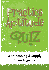

# **Warehousing & Supply Chain Logistics**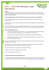## About this Warehousing & Supply **Resource**



#### **Guidance**

١ ١

The Practice Aptitude Quiz is intended to be a general illustration of some of the key learning standards required of people attempting an Australian Apprenticeships entry level qualification in the Warehousing and Supply Chain Logistics Industry.

#### **This Practice Aptitude Quiz is neither a formal tool nor a direct pre-requisite for any job application.**

This quiz has been developed with the assistance of industry, TAFE and the secondary school sector as a careers resource.

The quiz focuses on literacy, numeracy, comprehension and problem solving questions contextualised to this specific industry.

The quiz can be utilised by numerous organisations and people such as careers practitioners working with young people, Group Training Organisations and Job Services Australia providers working with job seekers.

#### **The Practice Aptitude Quiz can be:**

- Used by careers practitioners with individuals or in a class setting to provide general guidance on the level of study involved in undertaking an entry level qualification in this industry;
- › Provided to people to enable them to practice their skills before sitting an actual aptitude test;
- Used by Mathematics teachers as a guide to industry maths requirements at the entry point of this particular Australian Apprenticeship.

The level of reading, writing and mathematical skills assessed by this quiz is equivalent to that of a typical young person at Year 11 level.

Please note that rates quoted in this assessment for various items, including pay rates, are not meant to reflect today's values, but are used purely for mathematical purposes.

The quiz should be able to be completed in approximately 60 minutes.

Calculators may be used to complete this practice exercise.

Answers are located at the end of the quiz.

#### **Occupational Information and Job Hunting Resources**

Information and links on the Warehousing and Supply Chain Logistics Industry, careers, job prospects as well as career websites and job hunting resources can be found at [www.aapathways.com.au/Career](http://www.aapathways.com.au/Career-Resources)-Resources.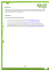#### **After the Quiz**



If you are still at school you should discuss any concerns you may have with your career practitioner. Further information may also be provided by a Job Services Australia provider, an Australian Apprenticeships Centre, a Group Training Organisation or a training provider.

#### **Useful Contacts**

J

#### **Here are some links to job seeker support services:**

- > Search for your local Australian Apprenticeships Centre [www.aapathways.com.au/aac](http://www.aapathways.com.au/aac)
	- Find a local Group Training Organisation [www.grouptraining.com.au/Find/find\\_gto.html](http://www.grouptraining.com.au/Find/find_gto.html)
	- Job Services Australia providers work with eligible job seekers to develop an individually tailored Employment Pathway Plan. The plan maps out the training, work experience and additional assistance needed to find job seekers sustainable employment - [www.jobsearch.gov.au/provider/default.aspx](http://www.jobsearch.gov.au/provider/default.aspx)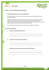## Part 2: The Quiz



#### **Section 1 - Literacy, Reading and Comprehension**

#### **1. Read the following passage and answer the questions below.**

As a Freight Forwarder you will assist with the movement of cargo to international destinations from Australia and vice versa.

Freight Forwarders act only as an agent on behalf of carriers such as sea, air, road and rail transporters. Freight Forwarders despatch shipments to these carriers and book and arrange space for these shipments. They are also referred to as International Freight Forwarders and are the experts in preparing and processing the documentation to perform international shipments.

Documentation includes commercial invoices, shippers' export declarations, bills of lading.

#### **Answer the following questions.**

١

I

**a. What does a Freight Forwarder assist with?**

**b. What are the main duties of a Freight Forwarder?** 

**c. What Documents are prepared and processed by a Freight Forwarder***?*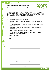#### **2. Read the following passage and answer the questions below.**



Australian Apprenticeships encompass all apprenticeships and traineeships. They combine time at work with training and may be completed as full-time or part-time employment, or while still at school.

Australian Apprenticeships are the best way to combine training and employment to help you develop your skills, and achieve a nationally recognised qualification. Australian Apprenticeships are available to anyone of working age and do not require any entry qualifications. You can be a schoolleaver, re-entering the workforce or simply wishing to change careers.

Australian Apprenticeships offer:

۱

- › A great way to get a head start in a chosen career.
- › Paid work and structured training that can be on-the-job, off-the-job or a combination of both.
- › Competency-based training which means you can complete your training faster if you reach the required skills level.
- › Recognition of existing skills and prior experience as well as course credits, potentially reducing formal training time.
- › Options to commence full-time, part-time, or whilst at school.
- › Nationally recognised qualifications and skills which provide the basis for further education and training over the course of your working life.
- › A pathway from school to work.

#### **Answer the following questions.**

#### **a. What are the three ways that an Australian Apprenticeships may be completed?**

**b. What do Australian Apprenticeships combine to help you develop your skills?**

**c. Are employees paid while they complete an Australian Apprenticeship?**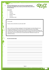**3. Rewrite the following letter in the correct format, including appropriate punctuation and spelling. Please include any information that you think may have been left out.**



#### **Punctuation:**

- › Capitals
- › Full stops
- › Question marks
- › Commas
- › Exclamation marks

#### mr tim smith

ı

28 jones street martinville new south wales 2929

dear mr smith I am writeing to apologise for the load of goods incorrectly delivered to your companies distribution centre lat weak the error happened because of new staffing arrangements at Westlands transport and warehouse services we have fixed the problem and essure you that it won't happen again please accept our apologies and if you wish to discuss the matter please call me at any time yours sincerely bob drover Westlands transport and warehouse services

#### **Re-write the letter below**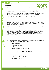#### **Comprehension**

۱



#### **4. Read the following article and answer the questions that follow.**

All imported goods are subject to assessment for duty, Goods and Services Tax (GST) and other taxes and charges even if you have imported those goods for your own personal use.

If the goods you imported have a value over \$1,000 AUD (Australian Dollars) you will need to lodge an import declaration and pay any duty, GST or other taxes and charges that may apply.

Lodging and finalising an import declaration means the goods are 'entered for home consumption'. The term 'entered for home consumption', used by Customs and Border Protection, means goods were declared and cleared from Customs control in accordance with Customs law for delivery within Australia.

Imported goods valued at or below \$1000 AUD that arrive in Australia by sea or air cargo must be declared to the Australian Customs and Border Protection Service (Customs and Border Protection) on a self-assessed clearance (SAC) declaration.

SAC declarations are not required for the clearance of goods with a value at or below \$1000 AUD that arrive by international mail (post).

If your goods arrive in Australia by mail and have a declared or assessed value of \$1,000 AUD or less, the goods may be imported free of duty, taxes and Customs and Border Protection charges, unless they are alcohol products or tobacco products. Apart from alcohol and tobacco products those goods will be cleared by Customs and Border Protection and delivered by Australia Post without you doing anything.

**Answer the following questions by circling the correct response.** 

- **a. A consignment of car parts with a declared value of \$310 AUD imported by air cargo would normally be cleared from Customs control by lodging a:**
	- **i.** An Import Declaration
	- **ii.** Does not require any declaration
	- **iii.** A self assessed clearance declaration
	- **iv.** An Unaccompanied Personal Effects Statement

#### **b. A consignment of clothing with a declared value of \$890 AUD that arrives through the postal service would normally be cleared from customs control by lodging a:**

- **i.** A self assessed clearance declaration
- **ii.** An Unaccompanied Personal Effects Statement
- **iii.** Does not require any declaration
- **iv.** An Import Declaration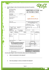| EXPORTER (Name and address)<br>J & J Commodity Traders                                                                                                                                                                                                                                       |                                                           |                                                                                                                                                 |                                                                                                                                                                                                                                         |                                          | <b>SHIPPER'S LETTER</b>                                                       | follow. |
|----------------------------------------------------------------------------------------------------------------------------------------------------------------------------------------------------------------------------------------------------------------------------------------------|-----------------------------------------------------------|-------------------------------------------------------------------------------------------------------------------------------------------------|-----------------------------------------------------------------------------------------------------------------------------------------------------------------------------------------------------------------------------------------|------------------------------------------|-------------------------------------------------------------------------------|---------|
|                                                                                                                                                                                                                                                                                              | 256 Given Road<br>Virginia QLD 4014<br>ABN 57 836 591 012 |                                                                                                                                                 |                                                                                                                                                                                                                                         | <b>OF INSTRUCTION</b>                    |                                                                               |         |
| SHIPPERS REF No:<br>Invoice # 8786<br>CONSIGNEE (Name and address)                                                                                                                                                                                                                           |                                                           | POST CODE<br>4014                                                                                                                               |                                                                                                                                                                                                                                         |                                          |                                                                               |         |
| Hiroko Tamaku Services Pte Ltd<br>1068 Xiang Rd East<br>Xingang, China                                                                                                                                                                                                                       |                                                           |                                                                                                                                                 | <b>Logistics Services Pty Ltd</b>                                                                                                                                                                                                       | <b>MFC</b>                               |                                                                               |         |
| ORDER No: 005001                                                                                                                                                                                                                                                                             |                                                           |                                                                                                                                                 |                                                                                                                                                                                                                                         | freight will be charged to your account. | NOTE: If 'Payment of Charges' Section not completed                           |         |
| ALSO NOTIFY (Name and address)                                                                                                                                                                                                                                                               |                                                           |                                                                                                                                                 | FREIGHT CHARGES<br>PREPAID O (TO BE PAID BY SHIPPER)<br>COLLECT (TO BE PAID BY CONSIGNEE)                                                                                                                                               | SHIPPER TO INDICATE                      | <b>INVOICE TERMS</b><br>FOB <sub>I</sub><br><b>EXWORKS</b>                    |         |
| MODE OF TRANSPORT (specify)<br>$\vee$ Sea<br>PORT OR AIRPORT OF DESTINATION                                                                                                                                                                                                                  | <b>Air</b><br>Brisbane                                    | PORT OF EXPORT                                                                                                                                  | DOCUMENTATION ATTACHED<br>COMMERCIAL INVOICE<br><b>OTHER</b>                                                                                                                                                                            |                                          | C&F<br>∨<br>CIF<br>$\boxed{\triangledown}$ PACKING LIST $\boxed{\circ}$ OTHER |         |
| Guangzhou<br>SHIPPER REQUESTS<br>INSURANCE No                                                                                                                                                                                                                                                | $V$ Yes                                                   | AMOUNT TO BE INSURED<br>AUD 18000.00                                                                                                            | VALUE FOR CUSTOMS<br><b>CURRENCY</b>                                                                                                                                                                                                    |                                          |                                                                               |         |
| MARKS AND<br><b>NUMBERS</b>                                                                                                                                                                                                                                                                  | NUMBER AND TYPE<br>OF PACKAGING                           | <b>DESCRIPTION</b><br>OF GOODS                                                                                                                  | GROSS VEIGHT                                                                                                                                                                                                                            |                                          | DIMENSIONS OR<br>CUBIC MEASUREMENTS                                           |         |
| <b>J&amp;J Traders</b><br>(In Tri.)<br>C/No. 1-126<br>Made in Aust.                                                                                                                                                                                                                          | 1x20'GP stc                                               | 126 Ctns auto accessories                                                                                                                       |                                                                                                                                                                                                                                         | 7123kgs                                  | 26.524cbm                                                                     |         |
| COUNTRY OF MANUFACTURE<br>ECN (Where applicable)                                                                                                                                                                                                                                             |                                                           | Australia                                                                                                                                       |                                                                                                                                                                                                                                         | <b>DANGEROUS GOODS</b>                   |                                                                               |         |
|                                                                                                                                                                                                                                                                                              | BILL OF LOADING/AIRVAYBILL ON YOUR BEHALF.                | <b>COMPLETION OF THIS DOCUMENT IS NECESSARY FOR</b><br>MFC LOGISTICS SERVICES PTY LTD TO COMPLETE A<br>PLEASE BE ACCURATE AND USE BLOCK LETTERS | Are there Dangerous Goods covered by this Shipper's Letter of Instruction ?<br>$\triangledown$ No<br>l Yes<br>If answered yes, please attach dangerous goods declaration.<br><b>DUTY DRAWBACK APPLICABLE</b><br>$\vee$ No<br><b>Yes</b> |                                          |                                                                               |         |
| Sender hereby authorises the Company to complete the Consignment<br>Notes and other necessary documents in connection with despatch,<br>carriage and delivery of goods on behalf of the sender under the<br>provisions of the relevant articles of Carrier's General Conditions of Carriage. |                                                           |                                                                                                                                                 | Does this export comply with the ATO rulings on GST for exports ?<br>$\vee$ Yes<br>N <sub>o</sub><br><b>SPECIAL INSTRUCTIONS</b>                                                                                                        |                                          |                                                                               |         |

**From the above Shipper's Letter of Instruction, please answer the following queries:**

**a. What is the destination for this shipment?**

ı

**b. How many packages or cartons are included in the shipment?**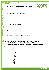**c. Who is responsible for paying the freight on the shipment?**



- **d. Is the shipment to move via sea or air freight?**
- **e. Where were the goods manufactured?**
- **f. What is the value of the goods?**

١

t

- **g. Identify the supplier's ABN.**
- **h. Identify the order number that this shipment relates to.**

**6.** In transport and logistics, there are packaging provisions for dangerous goods. On occasion customers deliver cargo to us that is not packaged suitably for transport.

**Identify the problem with each container pictured below. Write your response in the right hand column.**

|                      | а. |
|----------------------|----|
| <b>Ecolege Crame</b> | b. |

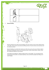

**7. Manual Handling** 



Research indicates that unsafe manual handling is the most common cause of work related injuries in the office. These injuries cause personal suffering and loss of income and also cost businesses and the national economy.

Manual handling is any activity that requires you to lift, move, push, pull, carry or hold any objects. Mechanical handling aids reduce force and physical efforts. Aides include forklifts, trolleys, scissor lifts, folding work platforms and conveyors.

Team lifting can be defined as "Lifting an object by two or more people". You can improve this by having good communication, ensuring the pathway is clear and that the people team lifting are of similar heights.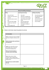

|         | <b>Manual handling techniques</b>                                                                                                                                                     |                       |                                                                                                                                                                                                         |                  |                                                                                                                                 |  |  |  |
|---------|---------------------------------------------------------------------------------------------------------------------------------------------------------------------------------------|-----------------------|---------------------------------------------------------------------------------------------------------------------------------------------------------------------------------------------------------|------------------|---------------------------------------------------------------------------------------------------------------------------------|--|--|--|
| Lifting |                                                                                                                                                                                       | Lowering and carrying |                                                                                                                                                                                                         |                  | <b>Pulling and pushing</b>                                                                                                      |  |  |  |
| ⋟<br>ゝ  | Size up the load<br>Position your feet close to<br>the load<br>Ensure you have a secure<br>grip<br>Keep your back straight<br>Position your head and<br>arms<br>Use your legs to lift | ⋟<br>><br>ゝ<br>>      | Clear path<br>Walk with a straight back<br>Carry load in front of body,<br>close to body and in both<br>hands<br>Share the load evenly<br>between both hands<br>Use straps or trolleys (if<br>possible) | ><br>><br>><br>> | Carry the load close to<br>your body keeping a<br>straight back<br>Use your leg muscles<br>Keep low to ground<br>Secure footing |  |  |  |

**Below is a list of tasks. Answer the questions for each task.** 

Г

| <b>Task Description</b>                                                                                                                                                    |  |
|----------------------------------------------------------------------------------------------------------------------------------------------------------------------------|--|
| Task a: A safe way to move a full 200<br>litre drum of liquid a minimum of 20<br>m.<br>Which mechanical aide could help in<br>this lifting task?                           |  |
| Task b: Use a team lift to move a<br>heavy object onto a manual or<br>mechanical handling device.<br>What are the main points to<br>remember when team lifting?            |  |
| Task c: Move a box or other<br>container, with an approximate<br>weight of 35 kgs, from floor level to a<br>nearby bench.<br>Describe how you would complete<br>this task. |  |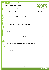#### **Section 2 - Mathematical Questions**

I ١



**Using a calculator, answer the following queries:**

- **1. An exporter is sending 360 items packed in boxes of nine. How many boxes are they sending?**
- **2. Your petrol tank holds 75 litres. You have used 26 litres.** 
	- **a. How many litres remain in the tank?**
	- **b. What will you pay to top up the tank if the cost per litre is \$1.24?**
- **3. Customs Duty on a particular item is 5%. How much duty is payable if the value of the item is \$4,400?**
- **4. How much would you charge a customer who ships 183 kilograms of an item where the shipping cost is \$3.90 per kilogram?**

**5. a. Add the following amounts: \$1535.83, \$24.00, \$120.00, \$10.50, \$181.37, \$15.15.**

**b. This total amount does not include GST. What would be the new total inclusive of GST? (GST is 10%)**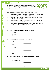**6. In Transport and Logistics, products and packaging may be received from overseas countries that use units of measurement not used in Australia. For example, a package from the United States of America may be weighed in pounds rather than kilograms. These measurements must be converted to meet the needs of Australian Customs and customers.**



**Using the following formulas and a calculator, answer the questions that follow.**

- › Converting **Pounds to Kilograms** Multiply the number of pounds by 0.4535924 to get the number of kilograms (eg: 124 pounds x 0.4535924 = 56.25 kgs).
- › Converting **Feet to Metres** Multiply the number of feet by 0.3048 to get the number of metres (eg: 57 feet x 0.3048 = 17.37 metres).
- › Converting **Centimetres to Metres** Divide the number of centimetres by 100 to get the number of Metres (eg: 727 cm / 100 = 7.27 m).
- › Converting **Foreign Currency to Australian Dollars** Divide the foreign currency amount by the Rate of Exchange (ROE) eg: EUR 350.00/ ROE 0.4 = AUD \$875.00.

#### **Convert the following:**

- **a. Pounds to Kilograms (round your answer to two decimal places).**
	- **i.** 900 pounds =
	- **ii.** 61 pounds =
	- **iii.** 152 pounds =

**b. Feet to Metres (round your answer to three decimal places).**

| i. 8 feet    | $=$              |  |
|--------------|------------------|--|
| ii. 22 feet  | $\sim$ $\approx$ |  |
| iii. 45 feet | $=$              |  |

#### **c. Centimetres to Metres.**

|     | i. $1145 \text{ cm}$ | $\equiv$ |  |
|-----|----------------------|----------|--|
| ii. | 291 cm               | $=$      |  |
|     | <b>iii.</b> 76 cm    | $=$      |  |

#### **d. Foreign Currency to Australian Dollar (round your answer to two decimal places).**

- **i.** USD 1200 @ ROE 1.069 **ii.** GBP 150 @ ROE 0.664
- **iii.** USD 975 @ ROE 1.069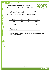**7. Calculating the volume or cubic metres (CBM) of a shipment.**

۱

J



**The volume or cubic metres (CBM) of a shipment is calculated with the formula - Length x Width x Height x Number of Packages.** 

**Note:** Always convert length, width and height to metres when calculating eg. 105 cm = 1.05 m therefore use 1.05 m when multiplying.

|                                                    | <b>Consignment 1</b> | <b>Consignment 2</b> | <b>Consignment 3</b> |
|----------------------------------------------------|----------------------|----------------------|----------------------|
| Length                                             | 187 cm               | 94 cm                | 1.43 <sub>m</sub>    |
| Width                                              | 62 cm                | 88 cm                | 0.57 <sub>m</sub>    |
| Height                                             | 54 cm                | 71 cm                | 1.01 <sub>m</sub>    |
| <b>Number of Packages</b>                          | 5                    |                      | 8                    |
| <b>CBM</b><br>(rounded to three<br>decimal places) |                      |                      |                      |

**a. Calculate the total cubic metres (CBM) of the following consignments:**

**b. If the above consignments were for loading as one shipment, what would the total volume (in CBM) be for this shipment?**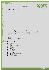



#### **Section 1 - Literacy, Reading and Comprehension**

- **1. a.** Freight forwarders will assist with the movement of cargo to international destinations to and from Australia and vice versa.
	- **b.** Freight Forwarders act as agents on behalf of carriers, dispatching shipments as well as booking and arranging space for the shipments. They also prepare and process the documentation to perform international shipments.
	- **c.** Commercial Invoices, Shippers export declarations and bills of lading
- **2. a.** Australian Apprenticeships may be completed as full-time or part-time employment, or while still at school.
	- **b.** Australian Apprenticeships combine training and employment to help you develop your skills.
	- **c.** Yes.

**3.**

J

#### Mr. Tim Smith, 28 Jones Street , Martinville, NSW, 2929.

Dear Mr. Smith,

I am writing to apologise for the load of goods incorrectly delivered to your company's distribution centre last week. The error happened because of new staffing arrangements at Westlands Transport and Warehouse Services. We have fixed the problem and assure you that it won't happen again. Please accept our apologies and if you wish to discuss the matter please call me at any time. Yours sincerely,

Bob Drover Westlands Transport and Warehouse Services

**4. a.** iii **b.** iii

- **5. a.** Guangzhou
	- **b.** 126 CTNS (Cartons)
	- **c.** Shipper (J & J Commodity Traders)
	- **d.** Sea
	- **e.** Queensland
	- **f.** \$18000.00 AUD
	- **g.** ABN: 57 836 591 012
	- **h.** Order No: 005001

#### **6. a.** Label is torn

- **b.** Container is pressurised and/or damaged
- **c.** Container is leaking
- **d.** No label on container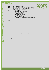| 7. | Task a:  |               |                          | Use manual handling device such as a forklift. |           |      |                                                                  |                          |
|----|----------|---------------|--------------------------|------------------------------------------------|-----------|------|------------------------------------------------------------------|--------------------------|
|    | Task b:  |               |                          |                                                |           |      | Have 1 or more people with the same height assist and ensure     |                          |
|    |          |               |                          |                                                |           |      | communication is clear as to where the object needs to go, clear |                          |
|    |          |               |                          | the path, lift and lower at the same time.     |           |      |                                                                  |                          |
|    | Task c:  |               |                          | Size up the load                               |           |      |                                                                  |                          |
|    |          |               |                          | Position your feet close to the load           |           |      |                                                                  |                          |
|    |          |               | $\overline{\phantom{m}}$ | Ensure you have a secure grip                  |           |      |                                                                  |                          |
|    |          |               |                          | Keep your back straight                        |           |      |                                                                  |                          |
|    |          |               |                          | Position your head and arms                    |           |      |                                                                  |                          |
|    |          |               |                          | Use your legs to lift                          |           |      |                                                                  |                          |
|    |          |               |                          | Walk with a straight back                      |           |      |                                                                  |                          |
|    |          |               |                          |                                                |           |      | Carry load in front of body, close to body and in both hands     |                          |
| 2. | \$32.94  |               |                          |                                                |           |      |                                                                  |                          |
| 3. | \$220.00 |               |                          |                                                |           |      |                                                                  |                          |
| 4. | \$713.70 |               |                          |                                                |           |      |                                                                  |                          |
| 5. |          | a. \$1,886.85 |                          |                                                |           |      | <b>b.</b> \$2,075.54 (rounded up from \$2,075.535)               |                          |
| 6. | a.       | i.            | 408.23 kgs               | ii.                                            | 27.67 kgs | iii. | 68.95 kgs                                                        |                          |
|    | $b$ .    | i.            | 2.438 m                  | ii.                                            | 6.706 m   | iii. | 13.716 m                                                         |                          |
|    | c.       | i.            | 11.45 m                  | ii.                                            | 2.91 m    | iii. | $0.76$ m                                                         |                          |
|    | d.       | i.            | \$1122.54                | ii.                                            | \$225.90  | iii. | \$912.07                                                         |                          |
| 7. | а.       |               | Consignment 1:           | 3.130 cbm                                      |           |      | Consignment 2: 1.175 cbm                                         | Consignment 3: 6.586 cbm |
|    | b.       | 10.891 cbm    |                          |                                                |           |      |                                                                  |                          |

**b.** 10.891 cbm

Page 16